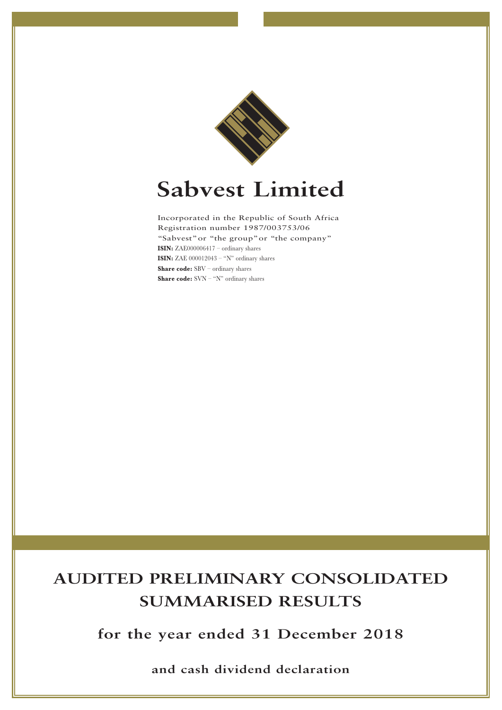

# **Sabvest Limited**

Incorporated in the Republic of South Africa Registration number 1987/003753/06 "Sabvest"or "the group"or "the company" **ISIN:** ZAE000006417 – ordinary shares **ISIN:** ZAE 000012043 – "N" ordinary shares **Share code:** SBV – ordinary shares **Share code:** SVN – "N" ordinary shares

# **AUDITED PRELIMINARY CONSOLIDATED SUMMARISED RESULTS**

**for the year ended 31 December 2018**

**and cash dividend declaration**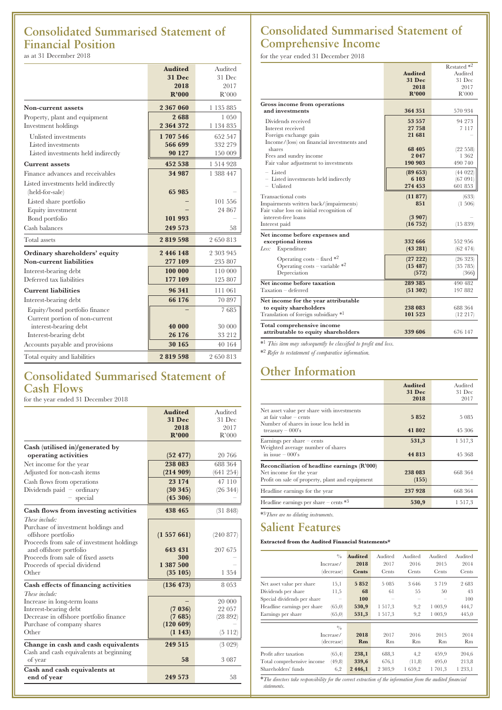# **Consolidated Summarised Statement of Financial Position** as at 31 December 2018

|                                    | <b>Audited</b> | Audited   |
|------------------------------------|----------------|-----------|
|                                    | <b>31 Dec</b>  | 31 Dec    |
|                                    | 2018           | 2017      |
|                                    | R'000          | R'000     |
| Non-current assets                 | 2 367 060      | 1 135 885 |
| Property, plant and equipment      | 2688           | 1 0 5 0   |
| Investment holdings                | 2 364 372      | 1 134 835 |
| Unlisted investments               | 1707546        | 652 547   |
| Listed investments                 | 566 699        | 332 279   |
| Listed investments held indirectly | 90 127         | 150 009   |
| <b>Current assets</b>              | 452 538        | 1 514 928 |
| Finance advances and receivables   | 34 987         | 1 388 447 |
| Listed investments held indirectly |                |           |
| (held-for-sale)                    | 65 985         |           |
| Listed share portfolio             |                | 101 556   |
| Equity investment                  |                | 24 867    |
| Bond portfolio                     | 101 993        |           |
| Cash balances                      | 249 573        | 58        |
| Total assets                       | 2819598        | 2 650 813 |
| Ordinary shareholders' equity      | 2446148        | 2 303 945 |
| Non-current liabilities            | 277 109        | 235 807   |
| Interest-bearing debt              | 100 000        | 110 000   |
| Deferred tax liabilities           | 177 109        | 125 807   |
| <b>Current liabilities</b>         | 96 341         | 111 061   |
| Interest-bearing debt              | 66 176         | 70 897    |
| Equity/bond portfolio finance      |                | 7685      |
| Current portion of non-current     |                |           |
| interest-bearing debt              | 40 000         | 30 000    |
| Interest-bearing debt              | 26 176         | 33 212    |
| Accounts payable and provisions    | 30 165         | 40 164    |
| Total equity and liabilities       | 2819598        | 2650813   |

# **Consolidated Summarised Statement of Cash Flows**

for the year ended 31 December 2018

|                                                              | <b>Audited</b> | Audited   |
|--------------------------------------------------------------|----------------|-----------|
|                                                              | 31 Dec         | 31 Dec    |
|                                                              | 2018           | 2017      |
|                                                              | R'000          | R'000     |
| Cash (utilised in)/generated by                              |                |           |
| operating activities                                         | (52 477)       | 20 766    |
| Net income for the year                                      | 238 083        | 688 364   |
| Adjusted for non-cash items                                  | (214909)       | (641254)  |
| Cash flows from operations                                   | 23 174         | 47 110    |
| Dividends paid $-$ ordinary                                  | (30345)        | (26 344)  |
| $-$ special                                                  | (45306)        |           |
| Cash flows from investing activities                         | 438 465        | (31848)   |
| These include:                                               |                |           |
| Purchase of investment holdings and                          |                |           |
| offshore portfolio                                           | (1557661)      | (240 877) |
| Proceeds from sale of investment holdings                    | 643 431        | 207 675   |
| and offshore portfolio<br>Proceeds from sale of fixed assets | 300            |           |
| Proceeds of special dividend                                 | 1 387 500      |           |
| Other                                                        | (35105)        | 1 354     |
| Cash effects of financing activities                         | (136 473)      | 8053      |
| These include:                                               |                |           |
| Increase in long-term loans                                  |                | 20 000    |
| Interest-bearing debt                                        | (7 036)        | 22 057    |
| Decrease in offshore portfolio finance                       | (7685)         | (28 892)  |
| Purchase of company shares                                   | (120 609)      |           |
| Other                                                        | (1143)         | (5112)    |
| Change in cash and cash equivalents                          | 249 515        | (3 029)   |
| Cash and cash equivalents at beginning                       |                |           |
| of year                                                      | 58             | 3 0 8 7   |
| Cash and cash equivalents at                                 |                |           |
| end of year                                                  | 249 573        | 58        |

# **Consolidated Summarised Statement of Comprehensive Income**

for the year ended 31 December 2018

|                                            |                | Restated *2 |
|--------------------------------------------|----------------|-------------|
|                                            | <b>Audited</b> | Audited     |
|                                            | <b>31 Dec</b>  | 31 Dec      |
|                                            | 2018           | 2017        |
|                                            | R'000          | R'000       |
| Gross income from operations               |                |             |
| and investments                            | 364 351        | 570 934     |
| Dividends received                         | 53 557         | 94 273      |
| Interest received                          | 27 758         | 7 1 1 7     |
| Foreign exchange gain                      | 21 681         |             |
| Income/(loss) on financial investments and |                |             |
| shares                                     | 68 405         | (22 558)    |
| Fees and sundry income                     | 2047           | 1 3 6 2     |
| Fair value adjustment to investments       | 190 903        | 490 740     |
| $-$ Listed                                 | (89653)        | (44022)     |
| - Listed investments held indirectly       | 6 103          | (67 091)    |
| - Unlisted                                 | 274 453        | 601 853     |
| <b>Transactional</b> costs                 | (11877)        | (633)       |
| Impairments written back/(impairments)     | 851            | $(1\ 506)$  |
| Fair value loss on initial recognition of  |                |             |
| interest-free loans                        | (3907)         |             |
| Interest paid                              | (16752)        | (15 839)    |
| Net income before expenses and             |                |             |
| exceptional items                          | 332 666        | 552 956     |
| Less:<br>Expenditure                       | (43 281)       | (62474)     |
| Operating costs – fixed $*^2$              | (27 222)       | (26 323)    |
| Operating costs – variable $*^2$           | (15 487)       | (35 785)    |
| Depreciation                               | (572)          | (366)       |
| Net income before taxation                 | 289 385        | 490 482     |
| Taxation - deferred                        | (51302)        | 197 882     |
| Net income for the year attributable       |                |             |
| to equity shareholders                     | 238 083        | 688 364     |
| Translation of foreign subsidiary *1       | 101 523        | (12 217)    |
| Total comprehensive income                 |                |             |
| attributable to equity shareholders        | 339 606        | 676 147     |

\*1 *This item may subsequently be classified to profit and loss.*

\*2 *Refer to restatement of comparative information.*

# **Other Information**

|                                                                                                                                       | <b>Audited</b><br><b>31 Dec</b><br>2018 | Audited<br>$31$ Dec<br>2017 |
|---------------------------------------------------------------------------------------------------------------------------------------|-----------------------------------------|-----------------------------|
| Net asset value per share with investments<br>at fair value $-$ cents<br>Number of shares in issue less held in<br>treasury $-000$ 's | 5852<br>41 802                          | 5 0 8 5<br>45 306           |
| Earnings per share $-$ cents<br>Weighted average number of shares<br>in issue $-000$ 's                                               | 531,3<br>44 813                         | 1517.3<br>45 368            |
| Reconciliation of headline earnings (R'000)<br>Net income for the year<br>Profit on sale of property, plant and equipment             | 238 083<br>(155)                        | 668 364                     |
| Headline earnings for the year                                                                                                        | 237928                                  | 668 364                     |
| Headline earnings per share – cents $*3$                                                                                              | 530,9                                   | 1517,3                      |

\*3*There are no diluting instruments.*

# **Salient Features**

### **Extracted from the Audited Financial Statements\***

| $\frac{0}{0}$<br>Increase/<br>(decrease)                                                                                                                                 | <b>Audited</b><br>2018<br><b>Cents</b> | Audited<br>2017<br>Cents           | Audited<br>2016<br>Cents | Audited<br>2015<br>Cents            | Audited<br>2014<br>Cents            |
|--------------------------------------------------------------------------------------------------------------------------------------------------------------------------|----------------------------------------|------------------------------------|--------------------------|-------------------------------------|-------------------------------------|
| Net asset value per share<br>15,1<br>Dividends per share<br>11,5<br>Special dividends per share<br>Headline earnings per share<br>(65,0)<br>(65,0)<br>Earnings per share | 5852<br>68<br>100<br>530,9<br>531,3    | 5 0 8 5<br>61<br>1 517,3<br>1517,3 | 3646<br>55<br>9,2<br>9,2 | 3 7 1 9<br>50<br>1 003,9<br>1 003,9 | 2683<br>43<br>100<br>444,7<br>445,0 |
| $\frac{0}{0}$<br>Increase/<br>(decrease)                                                                                                                                 | 2018<br>Rm                             | 2017<br>Rm                         | 2016<br>Rm               | 2015<br>Rm                          | 2014<br>Rm                          |
| Profit after taxation<br>(65, 4)<br>Total comprehensive income<br>(49,8)<br>Shareholders' funds<br>6,2                                                                   | 238,1<br>339,6<br>2446,1               | 688,3<br>676,1<br>2 303,9          | 4,2<br>(11,8)<br>1659,2  | 459,9<br>495,0<br>1 701.3           | 204,6<br>213,8<br>1 2 3 3, 1        |

 $*$ *The directors take responding the <i>directors take responding statements.*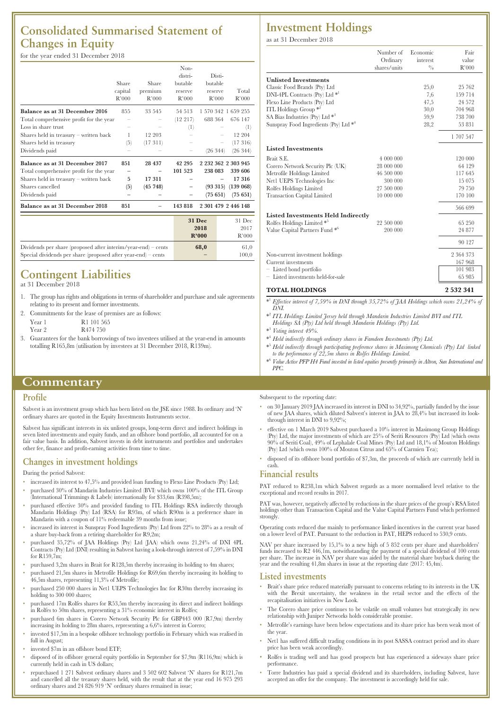# **Consolidated Summarised Statement of Changes in Equity**

## for the year ended 31 December 2018

|                                         |         |         | Non-        |                      |
|-----------------------------------------|---------|---------|-------------|----------------------|
|                                         |         |         | distri-     | Disti-               |
|                                         | Share   | Share   | butable     | butable              |
|                                         | capital | premium | reserve     | Total<br>reserve     |
|                                         | R'000   | R'000   | R'000       | R'000<br>R'000       |
| Balance as at 31 December 2016          | 855     | 33 545  | 54 513      | 1 570 342 1 659 255  |
| Total comprehensive profit for the year |         |         | $(12\;217)$ | 688 364<br>676 147   |
| Loss in share trust                     |         |         | $^{(1)}$    | $^{(1)}$             |
| Shares held in treasury - written back  |         | 12 203  |             | 12 204               |
| Shares held in treasury                 | (5)     | (17311) |             | (17316)              |
| Dividends paid                          |         |         |             | (26 344)<br>(26 344) |
| Balance as at 31 December 2017          | 851     | 28 437  | 42 295      | 2 232 362 2 303 945  |
| Total comprehensive profit for the year |         |         | 101 523     | 238 083<br>339 606   |
| Shares held in treasury – written back  | 5       | 17 311  |             | 17316                |
| Shares cancelled                        | (5)     | (45748) |             | (93315)<br>(139 068) |
| Dividends paid                          |         |         |             | (75651)<br>(75651)   |
| Balance as at 31 December 2018          | 851     |         | 143 818     | 2 301 479 2 446 148  |
|                                         |         |         |             |                      |

|                                                               | <b>31 Dec</b> | 31 Dec |
|---------------------------------------------------------------|---------------|--------|
|                                                               | 2018          | 2017   |
|                                                               | R'000         | R'000  |
| Dividends per share (proposed after interim/year-end) – cents | 68.0          | 61.0   |
| Special dividends per share (proposed after year-end) – cents |               | 100.0  |

# **Contingent Liabilities**

at 31 December 2018

- 1. The group has rights and obligations in terms of shareholder and purchase and sale agreements relating to its present and former investments.
- 2. Commitments for the lease of premises are as follows:
- Year 1 R1 101 565 Year 2 R474 750
- 
- 3. Guarantees for the bank borrowings of two investees utilised at the year-end in amounts totalling R165,8m (utilisation by investees at 31 December 2018, R139m).

# **Commentary**

#### **Profile**

Sabvest is an investment group which has been listed on the JSE since 1988. Its ordinary and 'N' ordinary shares are quoted in the Equity Investments Instruments sector.

Sabvest has significant interests in six unlisted groups, long-term direct and indirect holdings in even listed investments and equity funds, and an offshore bond portfolio, all accounted for on a fair value basis. In addition, Sabvest invests in debt instruments and portfolios and undertakes other fee, finance and profit-earning activities from time to time.

## **Changes in investment holdings**

#### During the period Sabvest:

- increased its interest to 47,5% and provided loan funding to Flexo Line Products (Pty) Ltd;
- purchased 30% of Mandarin Industries Limited (BVI) which owns 100% of the ITL Group (International Trimmings & Labels) internationally for \$33,6m (R398,5m);
- purchased effective 30% and provided funding to ITL Holdings RSA indirectly through Mandarin Holdings (Pty) Ltd (RSA) for R93m, of which R90m is a preference share in Mandarin with a coupon of 11% redeemable 39 months from issue;
- increased its interest in Sunspray Food Ingredients (Pty) Ltd from 22% to 28% as a result of a share buy-back from a retiring shareholder for R9,2m;
- purchased 35,72% of JAA Holdings (Pty) Ltd (JAA) which owns 21,24% of DNI 4PL Contracts (Pty) Ltd (DNI) resulting in Sabvest having a look-through interest of 7,59% in DNI for R159,7m;
- purchased 3,2m shares in Brait for R128,5m thereby increasing its holding to 4m shares;
- purchased 21,5m shares in Metrofile Holdings for R69,6m thereby increasing its holding to
- 46,5m shares, representing 11,3% of Metrofile; • purchased 250 000 shares in Net1 UEPS Technologies Inc for R30m thereby increasing its holding to 300 000 shares;
- purchased 17m Rolfes shares for R53,5m thereby increasing its direct and indirect holdings in Rolfes to 50m shares, representing a 31% economic interest in Rolfes;
- purchased 6m shares in Corero Network Security Plc for GBP443 000 (R7,9m) thereby increasing its holding to 28m shares, representing a 6,6% interest in Corero;
- invested \$17,5m in a bespoke offshore technology portfolio in February which was realised in full in August;
- invested \$7m in an offshore bond ETF;
- disposed of its offshore general equity portfolio in September for \$7,9m (R116,9m) which is currently held in cash in US dollars;
- repurchased 1 271 Sabvest ordinary shares and 3 502 602 Sabvest 'N' shares for R121,7m and cancelled all the treasury shares held, with the result that at the year end 16 975 293 ordinary shares and 24 826 919 'N' ordinary shares remained in issue;

# **Investment Holdings**

as at 31 December 2018

|                                                    | Number of<br>Ordinary<br>shares/units | Economic<br>interest<br>$\frac{0}{0}$ | Fair<br>value<br>R'000 |
|----------------------------------------------------|---------------------------------------|---------------------------------------|------------------------|
| <b>Unlisted Investments</b>                        |                                       |                                       |                        |
| Classic Food Brands (Pty) Ltd                      |                                       | 25,0                                  | 25 762                 |
| DNI-4PL Contracts (Pty) Ltd *1                     |                                       | 7,6                                   | 159 714                |
| Flexo Line Products (Pty) Ltd                      |                                       | 47,5                                  | 24 572                 |
| ITL Holdings Group $*^2$                           |                                       | 30,0                                  | 704 968                |
| SA Bias Industries (Pty) Ltd <sup>*3</sup>         |                                       | 59,9                                  | 738 700                |
| Sunspray Food Ingredients (Pty) Ltd * <sup>4</sup> |                                       | 28,2                                  | 53 831                 |
|                                                    |                                       |                                       | 1 707 547              |
| <b>Listed Investments</b>                          |                                       |                                       |                        |
| Brait S.E.                                         | 4 000 000                             |                                       | 120 000                |
| Corero Network Security Plc (UK)                   | 28 000 000                            |                                       | 64 129                 |
| Metrofile Holdings Limited                         | 46 500 000                            |                                       | 117 645                |
| Net1 UEPS Technologies Inc                         | 300 000                               |                                       | 15 075                 |
| Rolfes Holdings Limited                            | 27 500 000                            |                                       | 79 750                 |
| <b>Transaction Capital Limited</b>                 | 10 000 000                            |                                       | 170 100                |
|                                                    |                                       |                                       | 566 699                |
| <b>Listed Investments Held Indirectly</b>          |                                       |                                       |                        |
| Rolfes Holdings Limited *5                         | 22 500 000                            |                                       | 65 250                 |
| Value Capital Partners Fund <sup>*6</sup>          | 200 000                               |                                       | 24 877                 |
|                                                    |                                       |                                       | 90 127                 |
| Non-current investment holdings                    |                                       |                                       | 2 364 373              |
| Current investments                                |                                       |                                       | 167 968                |
| - Listed bond portfolio                            |                                       |                                       | 101 983                |
| - Listed investments held-for-sale                 |                                       |                                       | 65 985                 |
| <b>TOTAL HOLDINGS</b>                              |                                       |                                       | 2 5 3 2 3 4 1          |

- \* <sup>1</sup> *Effective interest of 7,59% in DNI through 35,72% of JAA Holdings which owns 21,24% of DNI.*
- \* <sup>2</sup> *ITL Holdings Limited Jersey held through Mandarin Industries Limited BVI and ITL Holdings SA (Pty) Ltd held through Mandarin Holdings (Pty) Ltd.*
- \* <sup>3</sup> *Voting interest 49%.*
- \* <sup>4</sup> *Held indirectly through ordinary shares in Famdeen Investments (Pty) Ltd.*
- \* <sup>5</sup> *Held indirectly through participating preference shares in Masimong Chemicals (Pty) Ltd linked to the performance of 22,5m shares in Rolfes Holdings Limited.*
- \* <sup>6</sup> *Value Active PFP H4 Fund invested in listed equities presently primarily in Altron, Sun International and PPC.*

Subsequent to the reporting date:

- on 30 January 2019 JAA increased its interest in DNI to 34,92%, partially funded by the issue of new JAA shares, which diluted Sabvest's interest in JAA to 28,4% but increased its lookthrough interest in DNI to 9,92%;
- effective on 1 March 2019 Sabvest purchased a 10% interest in Masimong Group Holdings (Pty) Ltd, the major investments of which are 25% of Seriti Resources (Pty) Ltd (which owns 90% of Seriti Coal), 49% of Lephalale Coal Mines (Pty) Ltd and 18,1% of Mouton Holdings (Pty) Ltd (which owns 100% of Mouton Citrus and  $65\%$  of Carmien Tea);
- disposed of its offshore bond portfolio of \$7,3m, the proceeds of which are currently held in cash.

#### **Financial results**

PAT reduced to R238,1m which Sabvest regards as a more normalised level relative to the exceptional and record results in 2017.

PAT was, however, negatively affected by reductions in the share prices of the group's RSA listed holdings other than Transaction Capital and the Value Capital Partners Fund which performed strongly.

Operating costs reduced due mainly to performance linked incentives in the current year based on a lower level of PAT. Pursuant to the reduction in PAT, HEPS reduced to 530,9 cents.

NAV per share increased by 15,1% to a new high of 5 852 cents per share and shareholders'<br>funds increased to R2 446,1m, notwithstanding the payment of a special dividend of 100 cents<br>per share. The increase in NAV per shar

#### **Listed investments**

- Brait's share price reduced materially pursuant to concerns relating to its interests in the UK with the Brexit uncertainty, the weakness in the retail sector and the effects of the recapitalisation initiatives in New Look.
- The Corero share price continues to be volatile on small volumes but strategically its new relationship with Juniper Networks holds considerable promise.
- Metrofile's earnings have been below expectations and its share price has been weak most of the year.
- Net1 has suffered difficult trading conditions in its post SASSA contract period and its share price has been weak accordingly.
- Rolfes is trading well and has good prospects but has experienced a sideways share price performance.
- Torre Industries has paid a special dividend and its shareholders, including Sabvest, have accepted an offer for the company. The investment is accordingly held for sale.